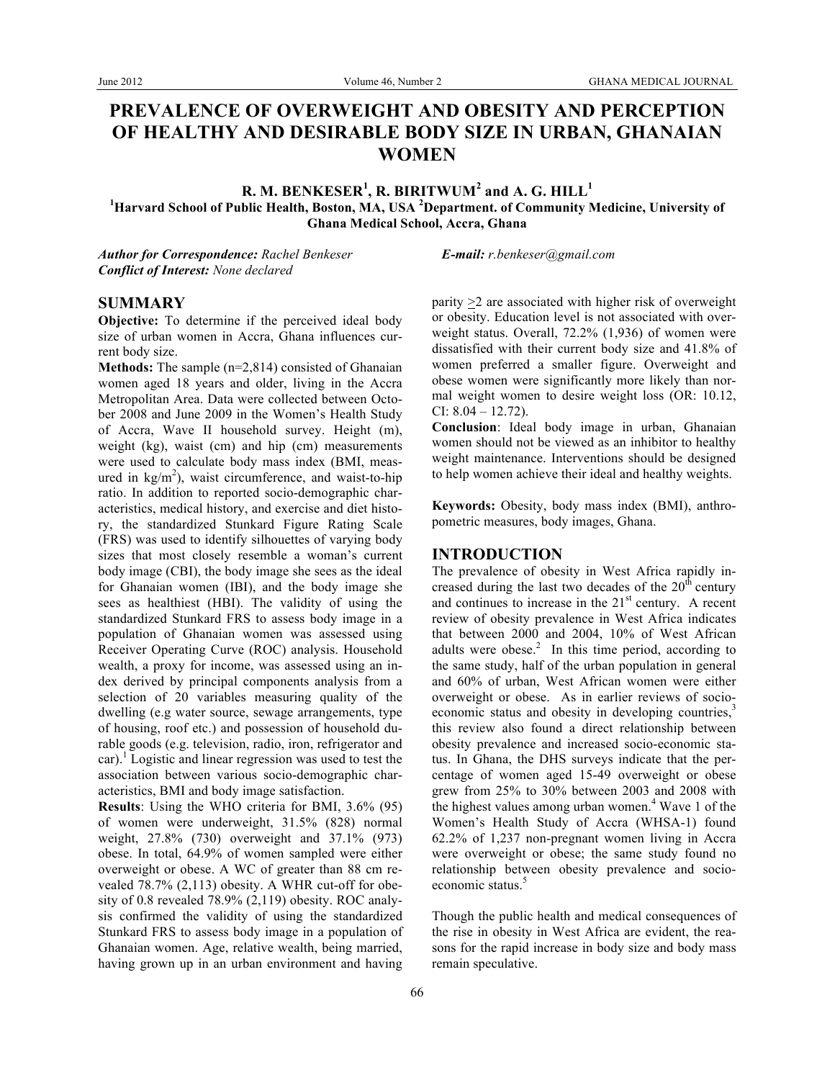# **PREVALENCE OF OVERWEIGHT AND OBESITY AND PERCEPTION OF HEALTHY AND DESIRABLE BODY SIZE IN URBAN, GHANAIAN WOMEN**

 ${\bf R}.$   ${\bf M}.$   ${\bf BENKESER^1},$   ${\bf R}.$   ${\bf BIRITWUM^2}$  and  ${\bf A}.$   ${\bf G}.$   ${\bf HILL^1}$ **1 Harvard School of Public Health, Boston, MA, USA <sup>2</sup> Department. of Community Medicine, University of Ghana Medical School, Accra, Ghana**

*Author for Correspondence: Rachel Benkeser E-mail: r.benkeser@gmail.com Conflict of Interest: None declared*

## **SUMMARY**

**Objective:** To determine if the perceived ideal body size of urban women in Accra, Ghana influences current body size.

**Methods:** The sample (n=2,814) consisted of Ghanaian women aged 18 years and older, living in the Accra Metropolitan Area. Data were collected between October 2008 and June 2009 in the Women's Health Study of Accra, Wave II household survey. Height (m), weight (kg), waist (cm) and hip (cm) measurements were used to calculate body mass index (BMI, measured in  $\text{kg/m}^2$ ), waist circumference, and waist-to-hip ratio. In addition to reported socio-demographic characteristics, medical history, and exercise and diet history, the standardized Stunkard Figure Rating Scale (FRS) was used to identify silhouettes of varying body sizes that most closely resemble a woman's current body image (CBI), the body image she sees as the ideal for Ghanaian women (IBI), and the body image she sees as healthiest (HBI). The validity of using the standardized Stunkard FRS to assess body image in a population of Ghanaian women was assessed using Receiver Operating Curve (ROC) analysis. Household wealth, a proxy for income, was assessed using an index derived by principal components analysis from a selection of 20 variables measuring quality of the dwelling (e.g water source, sewage arrangements, type of housing, roof etc.) and possession of household durable goods (e.g. television, radio, iron, refrigerator and car).<sup>1</sup> Logistic and linear regression was used to test the association between various socio-demographic characteristics, BMI and body image satisfaction.

**Results**: Using the WHO criteria for BMI, 3.6% (95) of women were underweight, 31.5% (828) normal weight, 27.8% (730) overweight and 37.1% (973) obese. In total, 64.9% of women sampled were either overweight or obese. A WC of greater than 88 cm revealed 78.7% (2,113) obesity. A WHR cut-off for obesity of 0.8 revealed 78.9% (2,119) obesity. ROC analysis confirmed the validity of using the standardized Stunkard FRS to assess body image in a population of Ghanaian women. Age, relative wealth, being married, having grown up in an urban environment and having

parity >2 are associated with higher risk of overweight or obesity. Education level is not associated with overweight status. Overall, 72.2% (1,936) of women were dissatisfied with their current body size and 41.8% of women preferred a smaller figure. Overweight and obese women were significantly more likely than normal weight women to desire weight loss (OR: 10.12, CI: 8.04 – 12.72).

**Conclusion**: Ideal body image in urban, Ghanaian women should not be viewed as an inhibitor to healthy weight maintenance. Interventions should be designed to help women achieve their ideal and healthy weights.

**Keywords:** Obesity, body mass index (BMI), anthropometric measures, body images, Ghana.

## **INTRODUCTION**

The prevalence of obesity in West Africa rapidly increased during the last two decades of the  $20<sup>th</sup>$  century and continues to increase in the  $21<sup>st</sup>$  century. A recent review of obesity prevalence in West Africa indicates that between 2000 and 2004, 10% of West African adults were obese. $2$  In this time period, according to the same study, half of the urban population in general and 60% of urban, West African women were either overweight or obese. As in earlier reviews of socioeconomic status and obesity in developing countries,<sup>3</sup> this review also found a direct relationship between obesity prevalence and increased socio-economic status. In Ghana, the DHS surveys indicate that the percentage of women aged 15-49 overweight or obese grew from 25% to 30% between 2003 and 2008 with the highest values among urban women.<sup>4</sup> Wave 1 of the Women's Health Study of Accra (WHSA-1) found 62.2% of 1,237 non-pregnant women living in Accra were overweight or obese; the same study found no relationship between obesity prevalence and socioeconomic status.<sup>5</sup>

Though the public health and medical consequences of the rise in obesity in West Africa are evident, the reasons for the rapid increase in body size and body mass remain speculative.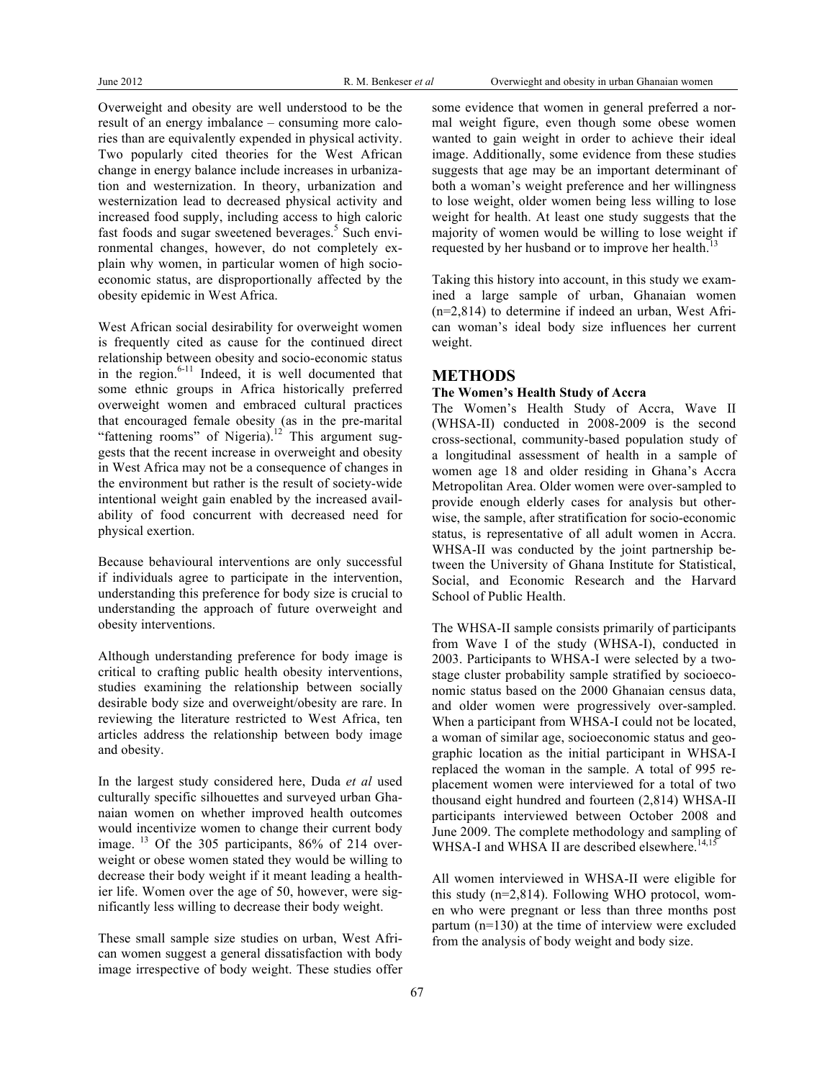Overweight and obesity are well understood to be the result of an energy imbalance – consuming more calories than are equivalently expended in physical activity. Two popularly cited theories for the West African change in energy balance include increases in urbanization and westernization. In theory, urbanization and westernization lead to decreased physical activity and increased food supply, including access to high caloric fast foods and sugar sweetened beverages.<sup>5</sup> Such environmental changes, however, do not completely explain why women, in particular women of high socioeconomic status, are disproportionally affected by the obesity epidemic in West Africa.

West African social desirability for overweight women is frequently cited as cause for the continued direct relationship between obesity and socio-economic status in the region. $6-11$  Indeed, it is well documented that some ethnic groups in Africa historically preferred overweight women and embraced cultural practices that encouraged female obesity (as in the pre-marital "fattening rooms" of Nigeria).<sup>12</sup> This argument suggests that the recent increase in overweight and obesity in West Africa may not be a consequence of changes in the environment but rather is the result of society-wide intentional weight gain enabled by the increased availability of food concurrent with decreased need for physical exertion.

Because behavioural interventions are only successful if individuals agree to participate in the intervention, understanding this preference for body size is crucial to understanding the approach of future overweight and obesity interventions.

Although understanding preference for body image is critical to crafting public health obesity interventions, studies examining the relationship between socially desirable body size and overweight/obesity are rare. In reviewing the literature restricted to West Africa, ten articles address the relationship between body image and obesity.

In the largest study considered here, Duda *et al* used culturally specific silhouettes and surveyed urban Ghanaian women on whether improved health outcomes would incentivize women to change their current body image. <sup>13</sup> Of the 305 participants, 86% of 214 overweight or obese women stated they would be willing to decrease their body weight if it meant leading a healthier life. Women over the age of 50, however, were significantly less willing to decrease their body weight.

These small sample size studies on urban, West African women suggest a general dissatisfaction with body image irrespective of body weight. These studies offer

some evidence that women in general preferred a normal weight figure, even though some obese women wanted to gain weight in order to achieve their ideal image. Additionally, some evidence from these studies suggests that age may be an important determinant of both a woman's weight preference and her willingness to lose weight, older women being less willing to lose weight for health. At least one study suggests that the majority of women would be willing to lose weight if requested by her husband or to improve her health.<sup>1</sup>

Taking this history into account, in this study we examined a large sample of urban, Ghanaian women (n=2,814) to determine if indeed an urban, West African woman's ideal body size influences her current weight.

## **METHODS**

### **The Women's Health Study of Accra**

The Women's Health Study of Accra, Wave II (WHSA-II) conducted in 2008-2009 is the second cross-sectional, community-based population study of a longitudinal assessment of health in a sample of women age 18 and older residing in Ghana's Accra Metropolitan Area. Older women were over-sampled to provide enough elderly cases for analysis but otherwise, the sample, after stratification for socio-economic status, is representative of all adult women in Accra. WHSA-II was conducted by the joint partnership between the University of Ghana Institute for Statistical, Social, and Economic Research and the Harvard School of Public Health.

The WHSA-II sample consists primarily of participants from Wave I of the study (WHSA-I), conducted in 2003. Participants to WHSA-I were selected by a twostage cluster probability sample stratified by socioeconomic status based on the 2000 Ghanaian census data, and older women were progressively over-sampled. When a participant from WHSA-I could not be located, a woman of similar age, socioeconomic status and geographic location as the initial participant in WHSA-I replaced the woman in the sample. A total of 995 replacement women were interviewed for a total of two thousand eight hundred and fourteen (2,814) WHSA-II participants interviewed between October 2008 and June 2009. The complete methodology and sampling of WHSA-I and WHSA II are described elsewhere.<sup>14,15</sup>

All women interviewed in WHSA-II were eligible for this study (n=2,814). Following WHO protocol, women who were pregnant or less than three months post partum (n=130) at the time of interview were excluded from the analysis of body weight and body size.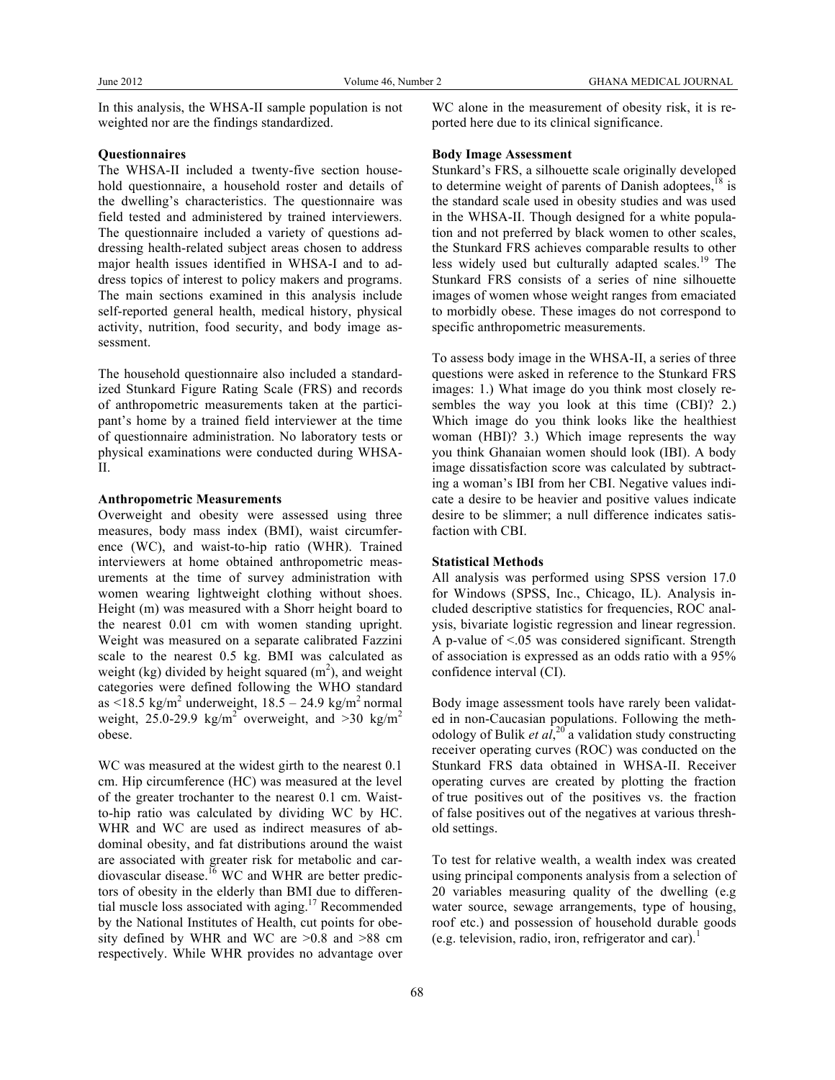In this analysis, the WHSA-II sample population is not weighted nor are the findings standardized.

#### **Questionnaires**

The WHSA-II included a twenty-five section household questionnaire, a household roster and details of the dwelling's characteristics. The questionnaire was field tested and administered by trained interviewers. The questionnaire included a variety of questions addressing health-related subject areas chosen to address major health issues identified in WHSA-I and to address topics of interest to policy makers and programs. The main sections examined in this analysis include self-reported general health, medical history, physical activity, nutrition, food security, and body image assessment.

The household questionnaire also included a standardized Stunkard Figure Rating Scale (FRS) and records of anthropometric measurements taken at the participant's home by a trained field interviewer at the time of questionnaire administration. No laboratory tests or physical examinations were conducted during WHSA-II.

#### **Anthropometric Measurements**

Overweight and obesity were assessed using three measures, body mass index (BMI), waist circumference (WC), and waist-to-hip ratio (WHR). Trained interviewers at home obtained anthropometric measurements at the time of survey administration with women wearing lightweight clothing without shoes. Height (m) was measured with a Shorr height board to the nearest 0.01 cm with women standing upright. Weight was measured on a separate calibrated Fazzini scale to the nearest 0.5 kg. BMI was calculated as weight (kg) divided by height squared  $(m^2)$ , and weight categories were defined following the WHO standard as  $\langle 18.5 \text{ kg/m}^2 \text{ underweight}, 18.5 - 24.9 \text{ kg/m}^2 \text{ normal}$ weight, 25.0-29.9 kg/m<sup>2</sup> overweight, and  $>30$  kg/m<sup>2</sup> obese.

WC was measured at the widest girth to the nearest 0.1 cm. Hip circumference (HC) was measured at the level of the greater trochanter to the nearest 0.1 cm. Waistto-hip ratio was calculated by dividing WC by HC. WHR and WC are used as indirect measures of abdominal obesity, and fat distributions around the waist are associated with greater risk for metabolic and cardiovascular disease.<sup>16</sup> WC and WHR are better predictors of obesity in the elderly than BMI due to differential muscle loss associated with aging.<sup>17</sup> Recommended by the National Institutes of Health, cut points for obesity defined by WHR and WC are >0.8 and >88 cm respectively. While WHR provides no advantage over

WC alone in the measurement of obesity risk, it is reported here due to its clinical significance.

### **Body Image Assessment**

Stunkard's FRS, a silhouette scale originally developed to determine weight of parents of Danish adoptees, $18$  is the standard scale used in obesity studies and was used in the WHSA-II. Though designed for a white population and not preferred by black women to other scales, the Stunkard FRS achieves comparable results to other less widely used but culturally adapted scales.<sup>19</sup> The Stunkard FRS consists of a series of nine silhouette images of women whose weight ranges from emaciated to morbidly obese. These images do not correspond to specific anthropometric measurements.

To assess body image in the WHSA-II, a series of three questions were asked in reference to the Stunkard FRS images: 1.) What image do you think most closely resembles the way you look at this time (CBI)? 2.) Which image do you think looks like the healthiest woman (HBI)? 3.) Which image represents the way you think Ghanaian women should look (IBI). A body image dissatisfaction score was calculated by subtracting a woman's IBI from her CBI. Negative values indicate a desire to be heavier and positive values indicate desire to be slimmer; a null difference indicates satisfaction with CBI.

#### **Statistical Methods**

All analysis was performed using SPSS version 17.0 for Windows (SPSS, Inc., Chicago, IL). Analysis included descriptive statistics for frequencies, ROC analysis, bivariate logistic regression and linear regression. A p-value of <.05 was considered significant. Strength of association is expressed as an odds ratio with a 95% confidence interval (CI).

Body image assessment tools have rarely been validated in non-Caucasian populations. Following the methodology of Bulik *et al*,<sup>20</sup> a validation study constructing receiver operating curves (ROC) was conducted on the Stunkard FRS data obtained in WHSA-II. Receiver operating curves are created by plotting the fraction of true positives out of the positives vs. the fraction of false positives out of the negatives at various threshold settings.

To test for relative wealth, a wealth index was created using principal components analysis from a selection of 20 variables measuring quality of the dwelling (e.g water source, sewage arrangements, type of housing, roof etc.) and possession of household durable goods (e.g. television, radio, iron, refrigerator and car).<sup>1</sup>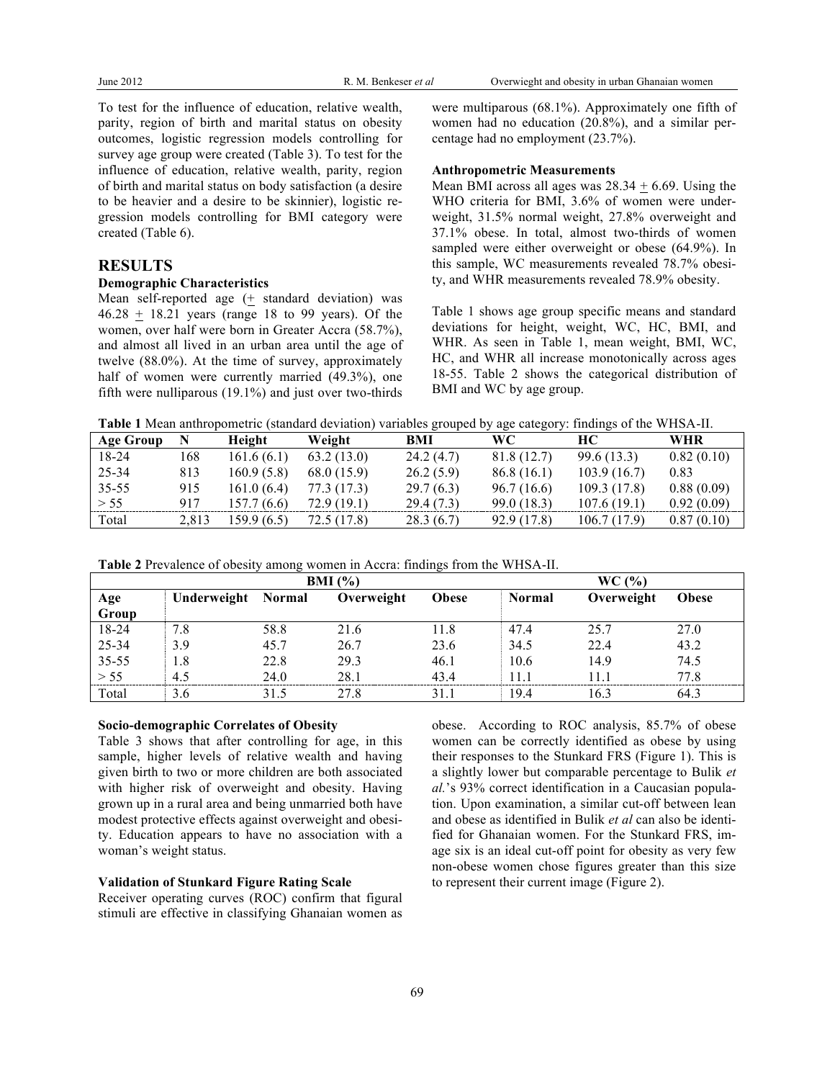To test for the influence of education, relative wealth, parity, region of birth and marital status on obesity outcomes, logistic regression models controlling for survey age group were created (Table 3). To test for the influence of education, relative wealth, parity, region of birth and marital status on body satisfaction (a desire to be heavier and a desire to be skinnier), logistic regression models controlling for BMI category were created (Table 6).

## **RESULTS**

#### **Demographic Characteristics**

Mean self-reported age  $($  t standard deviation) was  $46.28 \pm 18.21$  years (range 18 to 99 years). Of the women, over half were born in Greater Accra (58.7%), and almost all lived in an urban area until the age of twelve (88.0%). At the time of survey, approximately half of women were currently married (49.3%), one fifth were nulliparous (19.1%) and just over two-thirds

were multiparous (68.1%). Approximately one fifth of women had no education (20.8%), and a similar percentage had no employment (23.7%).

#### **Anthropometric Measurements**

Mean BMI across all ages was  $28.34 \pm 6.69$ . Using the WHO criteria for BMI, 3.6% of women were underweight, 31.5% normal weight, 27.8% overweight and 37.1% obese. In total, almost two-thirds of women sampled were either overweight or obese (64.9%). In this sample, WC measurements revealed 78.7% obesity, and WHR measurements revealed 78.9% obesity.

Table 1 shows age group specific means and standard deviations for height, weight, WC, HC, BMI, and WHR. As seen in Table 1, mean weight, BMI, WC, HC, and WHR all increase monotonically across ages 18-55. Table 2 shows the categorical distribution of BMI and WC by age group.

**Table 1** Mean anthropometric (standard deviation) variables grouped by age category: findings of the WHSA-II.

|                  |       |             |             |            | $\cdots$    |             |            |
|------------------|-------|-------------|-------------|------------|-------------|-------------|------------|
| <b>Age Group</b> |       | Height      | Weight      | BMI        | WС          | HC.         | WHR        |
| 18-24            | 168   | 161.6(6.1)  | 63.2(13.0)  | 24.2(4.7)  | 81.8 (12.7) | 99.6 (13.3) | 0.82(0.10) |
| 25-34            | 813   | 160.9(5.8)  | 68.0 (15.9) | 26.2(5.9)  | 86.8(16.1)  | 103.9(16.7) | 0.83       |
| 35-55            | 915   | 161.0(6.4)  | 77.3 (17.3) | 29.7(6.3)  | 96.7 (16.6) | 109.3(17.8) | 0.88(0.09) |
| > 55             | 917   | 157.7 (6.6) | 72.9 (19.1) | 29.4 (7.3) | 99.0 (18.3) | 107.6(19.1) | 0.92(0.09) |
| Total            | 2,813 | 159.9 (6.5) | 72.5 (17.8) | 28.3(6.7)  | 92.9 (17.8) | 106.7(17.9) | 0.87(0.10) |

|  |  | Table 2 Prevalence of obesity among women in Accra: findings from the WHSA-II. |
|--|--|--------------------------------------------------------------------------------|
|  |  |                                                                                |

|              | BMI(%)      |               |            |              |               | $WC($ %)   |              |  |  |
|--------------|-------------|---------------|------------|--------------|---------------|------------|--------------|--|--|
| Age<br>Group | Underweight | <b>Normal</b> | Overweight | <b>Obese</b> | <b>Normal</b> | Overweight | <b>Obese</b> |  |  |
|              |             |               |            |              |               |            |              |  |  |
| 18-24        | 7.8         | 58.8          | 21.6       | 11.8         | 47.4          | 25.7       | 27.0         |  |  |
| 25-34        | 3.9         | 45.7          | 26.7       | 23.6         | 34.5          | 22.4       | 43.2         |  |  |
| $35 - 55$    | 1.8         | 22.8          | 29.3       | 46.1         | 10.6          | 14.9       | 74.5         |  |  |
| > 55         | 4.5         | 24.0          | 28.1       | 43.4         | 11.1          | 11 1       | 77.8         |  |  |
| Total        | 3.6         | 31.5          | 27.8       | 31 1         | 19.4          | 16.3       | 64.3         |  |  |

#### **Socio-demographic Correlates of Obesity**

Table 3 shows that after controlling for age, in this sample, higher levels of relative wealth and having given birth to two or more children are both associated with higher risk of overweight and obesity. Having grown up in a rural area and being unmarried both have modest protective effects against overweight and obesity. Education appears to have no association with a woman's weight status.

## **Validation of Stunkard Figure Rating Scale**

Receiver operating curves (ROC) confirm that figural stimuli are effective in classifying Ghanaian women as obese. According to ROC analysis, 85.7% of obese women can be correctly identified as obese by using their responses to the Stunkard FRS (Figure 1). This is a slightly lower but comparable percentage to Bulik *et al.*'s 93% correct identification in a Caucasian population. Upon examination, a similar cut-off between lean and obese as identified in Bulik *et al* can also be identified for Ghanaian women. For the Stunkard FRS, image six is an ideal cut-off point for obesity as very few non-obese women chose figures greater than this size to represent their current image (Figure 2).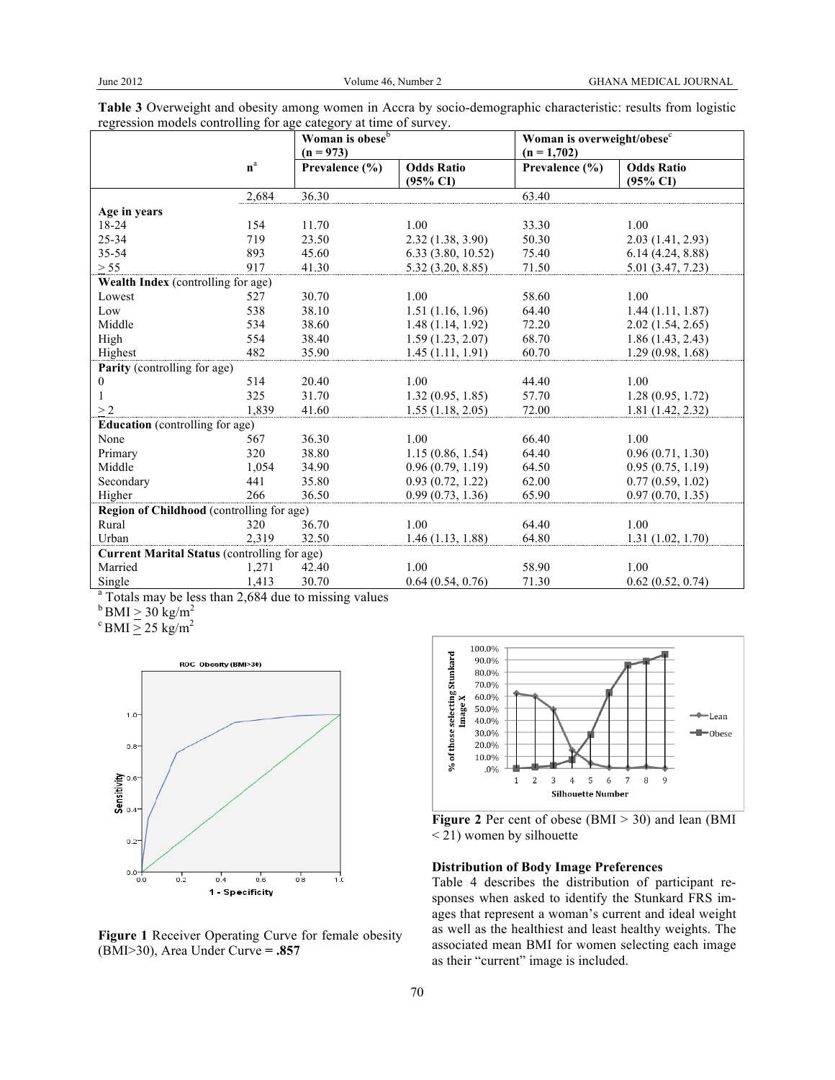|                                                     |                         | Woman is obese <sup>b</sup><br>$(n = 973)$ |                                          | Woman is overweight/obese <sup>c</sup><br>$(n = 1,702)$ |                                          |
|-----------------------------------------------------|-------------------------|--------------------------------------------|------------------------------------------|---------------------------------------------------------|------------------------------------------|
|                                                     | $\mathbf{n}^{\text{a}}$ | Prevalence $(\% )$                         | <b>Odds Ratio</b><br>$(95\% \text{ CI})$ | Prevalence (%)                                          | <b>Odds Ratio</b><br>$(95\% \text{ CI})$ |
|                                                     | 2,684                   | 36.30                                      |                                          | 63.40                                                   |                                          |
| Age in years                                        |                         |                                            |                                          |                                                         |                                          |
| 18-24                                               | 154                     | 11.70                                      | 1.00                                     | 33.30                                                   | 1.00                                     |
| 25-34                                               | 719                     | 23.50                                      | 2.32(1.38, 3.90)                         | 50.30                                                   | 2.03(1.41, 2.93)                         |
| 35-54                                               | 893                     | 45.60                                      | 6.33(3.80, 10.52)                        | 75.40                                                   | 6.14(4.24, 8.88)                         |
| > 55                                                | 917                     | 41.30                                      | 5.32(3.20, 8.85)                         | 71.50                                                   | 5.01 (3.47, 7.23)                        |
| Wealth Index (controlling for age)                  |                         |                                            |                                          |                                                         |                                          |
| Lowest                                              | 527                     | 30.70                                      | 1.00                                     | 58.60                                                   | 1.00                                     |
| Low                                                 | 538                     | 38.10                                      | 1.51(1.16, 1.96)                         | 64.40                                                   | 1.44(1.11, 1.87)                         |
| Middle                                              | 534                     | 38.60                                      | 1.48(1.14, 1.92)                         | 72.20                                                   | 2.02(1.54, 2.65)                         |
| High                                                | 554                     | 38.40                                      | 1.59(1.23, 2.07)                         | 68.70                                                   | 1.86(1.43, 2.43)                         |
| Highest                                             | 482                     | 35.90                                      | 1.45(1.11, 1.91)                         | 60.70                                                   | 1.29(0.98, 1.68)                         |
| <b>Parity</b> (controlling for age)                 |                         |                                            |                                          |                                                         |                                          |
| 0                                                   | 514                     | 20.40                                      | 1.00                                     | 44.40                                                   | 1.00                                     |
|                                                     | 325                     | 31.70                                      | 1.32(0.95, 1.85)                         | 57.70                                                   | 1.28(0.95, 1.72)                         |
| >2                                                  | 1,839                   | 41.60                                      | 1.55(1.18, 2.05)                         | 72.00                                                   | 1.81(1.42, 2.32)                         |
| <b>Education</b> (controlling for age)              |                         |                                            |                                          |                                                         |                                          |
| None                                                | 567                     | 36.30                                      | 1.00                                     | 66.40                                                   | 1.00                                     |
| Primary                                             | 320                     | 38.80                                      | 1.15(0.86, 1.54)                         | 64.40                                                   | 0.96(0.71, 1.30)                         |
| Middle                                              | 1,054                   | 34.90                                      | 0.96(0.79, 1.19)                         | 64.50                                                   | 0.95(0.75, 1.19)                         |
| Secondary                                           | 441                     | 35.80                                      | 0.93(0.72, 1.22)                         | 62.00                                                   | 0.77(0.59, 1.02)                         |
| Higher                                              | 266                     | 36.50                                      | 0.99(0.73, 1.36)                         | 65.90                                                   | 0.97(0.70, 1.35)                         |
| Region of Childhood (controlling for age)           |                         |                                            |                                          |                                                         |                                          |
| Rural                                               | 320                     | 36.70                                      | 1.00                                     | 64.40                                                   | 1.00                                     |
| Urban                                               | 2,319                   | 32.50                                      | 1.46(1.13, 1.88)                         | 64.80                                                   | 1.31(1.02, 1.70)                         |
| <b>Current Marital Status (controlling for age)</b> |                         |                                            |                                          |                                                         |                                          |
| Married                                             | 1,271                   | 42.40                                      | 1.00                                     | 58.90                                                   | 1.00                                     |
| Single                                              | 1,413                   | 30.70                                      | 0.64(0.54, 0.76)                         | 71.30                                                   | 0.62(0.52, 0.74)                         |

| Table 3 Overweight and obesity among women in Accra by socio-demographic characteristic: results from logistic |  |
|----------------------------------------------------------------------------------------------------------------|--|
| regression models controlling for age category at time of survey.                                              |  |

<sup>a</sup> Totals may be less than 2,684 due to missing values

 $b$  BMI  $\geq 30$  kg/m<sup>2</sup>

 $\mathrm{c}$  BMI  $\geq 25$  kg/m<sup>2</sup>



**Figure 1** Receiver Operating Curve for female obesity (BMI>30), Area Under Curve **= .857**





#### **Distribution of Body Image Preferences**

Table 4 describes the distribution of participant responses when asked to identify the Stunkard FRS images that represent a woman's current and ideal weight as well as the healthiest and least healthy weights. The associated mean BMI for women selecting each image as their "current" image is included.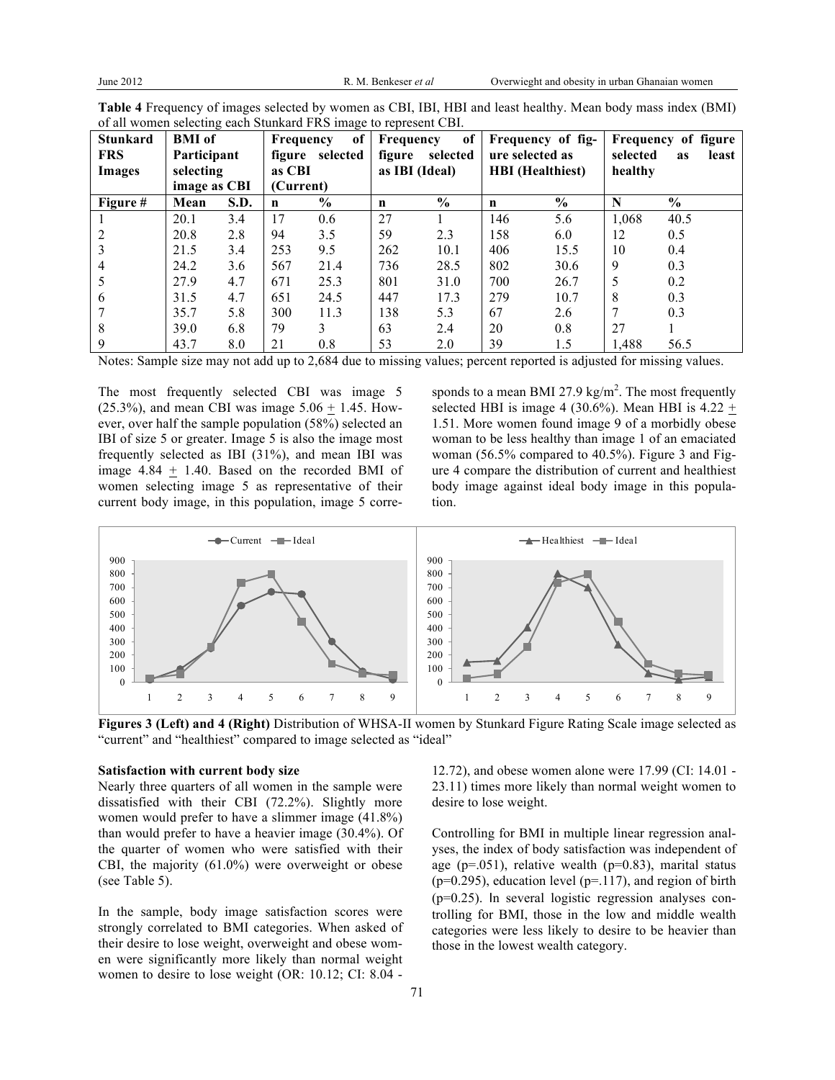| <b>Stunkard</b> | <b>BMI</b> of |      | Frequency | of            | Frequency   | of             | Frequency of fig- |                         |          | Frequency of figure |
|-----------------|---------------|------|-----------|---------------|-------------|----------------|-------------------|-------------------------|----------|---------------------|
| <b>FRS</b>      | Participant   |      | figure    | selected      | figure      | selected       |                   | ure selected as         | selected | least<br><b>as</b>  |
| Images          | selecting     |      | as CBI    |               |             | as IBI (Ideal) |                   | <b>HBI</b> (Healthiest) | healthy  |                     |
|                 | image as CBI  |      |           | (Current)     |             |                |                   |                         |          |                     |
| Figure #        | Mean          | S.D. | n         | $\frac{6}{6}$ | $\mathbf n$ | $\frac{0}{0}$  | $\mathbf n$       | $\frac{0}{0}$           | N        | $\frac{0}{0}$       |
|                 | 20.1          | 3.4  | 17        | 0.6           | 27          |                | 146               | 5.6                     | 1,068    | 40.5                |
|                 | 20.8          | 2.8  | 94        | 3.5           | 59          | 2.3            | 158               | 6.0                     | 12       | 0.5                 |
| 3               | 21.5          | 3.4  | 253       | 9.5           | 262         | 10.1           | 406               | 15.5                    | 10       | 0.4                 |
| 4               | 24.2          | 3.6  | 567       | 21.4          | 736         | 28.5           | 802               | 30.6                    | 9        | 0.3                 |
| 5               | 27.9          | 4.7  | 671       | 25.3          | 801         | 31.0           | 700               | 26.7                    | 5        | 0.2                 |
| 6               | 31.5          | 4.7  | 651       | 24.5          | 447         | 17.3           | 279               | 10.7                    | 8        | 0.3                 |
|                 | 35.7          | 5.8  | 300       | 11.3          | 138         | 5.3            | 67                | 2.6                     | 7        | 0.3                 |
| 8               | 39.0          | 6.8  | 79        | 3             | 63          | 2.4            | 20                | 0.8                     | 27       |                     |
| 9               | 43.7          | 8.0  | 21        | 0.8           | 53          | 2.0            | 39                | 1.5                     | 1,488    | 56.5                |

**Table 4** Frequency of images selected by women as CBI, IBI, HBI and least healthy. Mean body mass index (BMI) of all women selecting each Stunkard FRS image to represent CBI.

Notes: Sample size may not add up to 2,684 due to missing values; percent reported is adjusted for missing values.

The most frequently selected CBI was image 5 (25.3%), and mean CBI was image  $5.06 + 1.45$ . However, over half the sample population (58%) selected an IBI of size 5 or greater. Image 5 is also the image most frequently selected as IBI (31%), and mean IBI was image 4.84 + 1.40. Based on the recorded BMI of women selecting image 5 as representative of their current body image, in this population, image 5 corre-

sponds to a mean BMI 27.9 kg/m<sup>2</sup>. The most frequently selected HBI is image 4 (30.6%). Mean HBI is  $4.22 +$ 1.51. More women found image 9 of a morbidly obese woman to be less healthy than image 1 of an emaciated woman (56.5% compared to 40.5%). Figure 3 and Figure 4 compare the distribution of current and healthiest body image against ideal body image in this population.



**Figures 3 (Left) and 4 (Right)** Distribution of WHSA-II women by Stunkard Figure Rating Scale image selected as "current" and "healthiest" compared to image selected as "ideal"

#### **Satisfaction with current body size**

Nearly three quarters of all women in the sample were dissatisfied with their CBI (72.2%). Slightly more women would prefer to have a slimmer image (41.8%) than would prefer to have a heavier image (30.4%). Of the quarter of women who were satisfied with their CBI, the majority (61.0%) were overweight or obese (see Table 5).

In the sample, body image satisfaction scores were strongly correlated to BMI categories. When asked of their desire to lose weight, overweight and obese women were significantly more likely than normal weight women to desire to lose weight (OR: 10.12; CI: 8.04 -

12.72), and obese women alone were 17.99 (CI: 14.01 - 23.11) times more likely than normal weight women to desire to lose weight.

Controlling for BMI in multiple linear regression analyses, the index of body satisfaction was independent of age ( $p=.051$ ), relative wealth ( $p=0.83$ ), marital status ( $p=0.295$ ), education level ( $p=.117$ ), and region of birth (p=0.25). In several logistic regression analyses controlling for BMI, those in the low and middle wealth categories were less likely to desire to be heavier than those in the lowest wealth category.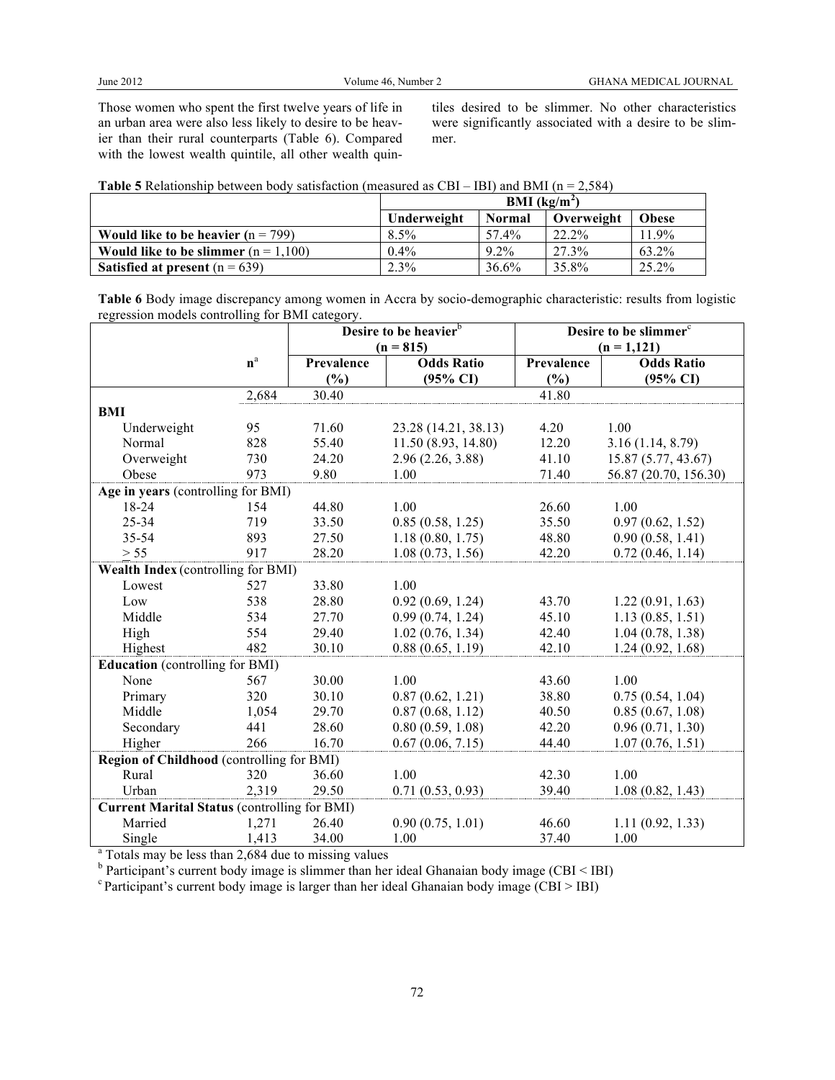Those women who spent the first twelve years of life in an urban area were also less likely to desire to be heavier than their rural counterparts (Table 6). Compared with the lowest wealth quintile, all other wealth quintiles desired to be slimmer. No other characteristics were significantly associated with a desire to be slimmer.

| <b>Table 5</b> Relationship between body satisfaction (measured as CBI – IBI) and BMI ( $n = 2,584$ ) |  |  |  |  |
|-------------------------------------------------------------------------------------------------------|--|--|--|--|
|-------------------------------------------------------------------------------------------------------|--|--|--|--|

|                                             | <b>BMI</b> ( $kg/m2$ ) |               |            |              |  |  |
|---------------------------------------------|------------------------|---------------|------------|--------------|--|--|
|                                             | Underweight            | <b>Normal</b> | Overweight | <b>Obese</b> |  |  |
| <b>Would like to be heavier</b> $(n = 799)$ | $8.5\%$                | 57.4%         | 22.2%      | 1.9%         |  |  |
| Would like to be slimmer $(n = 1,100)$      | $0.4\%$                | $9.2\%$       | 27.3%      | 63.2%        |  |  |
| <b>Satisfied at present</b> $(n = 639)$     | $2.3\%$                | 36.6%         | 35.8%      | 25.2%        |  |  |

**Table 6** Body image discrepancy among women in Accra by socio-demographic characteristic: results from logistic regression models controlling for BMI category.

|                                                     |       | Desire to be heavier <sup>b</sup> |                      | Desire to be slimmer <sup>c</sup> |                       |  |  |
|-----------------------------------------------------|-------|-----------------------------------|----------------------|-----------------------------------|-----------------------|--|--|
|                                                     |       |                                   | $(n = 815)$          |                                   | $(n = 1, 121)$        |  |  |
|                                                     | $n^a$ | <b>Odds Ratio</b><br>Prevalence   |                      | Prevalence                        | <b>Odds Ratio</b>     |  |  |
|                                                     |       | (%)                               | $(95\% \text{ CI})$  | (%)                               | $(95\% \text{ CI})$   |  |  |
|                                                     | 2,684 | 30.40                             |                      | 41.80                             |                       |  |  |
| <b>BMI</b>                                          |       |                                   |                      |                                   |                       |  |  |
| Underweight                                         | 95    | 71.60                             | 23.28 (14.21, 38.13) | 4.20                              | 1.00                  |  |  |
| Normal                                              | 828   | 55.40                             | 11.50(8.93, 14.80)   | 12.20                             | 3.16(1.14, 8.79)      |  |  |
| Overweight                                          | 730   | 24.20                             | 2.96(2.26, 3.88)     | 41.10                             | 15.87 (5.77, 43.67)   |  |  |
| Obese                                               | 973   | 9.80                              | 1.00                 | 71.40                             | 56.87 (20.70, 156.30) |  |  |
| Age in years (controlling for BMI)                  |       |                                   |                      |                                   |                       |  |  |
| 18-24                                               | 154   | 44.80                             | 1.00                 | 26.60                             | 1.00                  |  |  |
| 25-34                                               | 719   | 33.50                             | 0.85(0.58, 1.25)     | 35.50                             | 0.97(0.62, 1.52)      |  |  |
| 35-54                                               | 893   | 27.50                             | 1.18(0.80, 1.75)     | 48.80                             | 0.90(0.58, 1.41)      |  |  |
| $> 55$                                              | 917   | 28.20                             | 1.08(0.73, 1.56)     | 42.20                             | 0.72(0.46, 1.14)      |  |  |
| Wealth Index (controlling for BMI)                  |       |                                   |                      |                                   |                       |  |  |
| Lowest                                              | 527   | 33.80                             | 1.00                 |                                   |                       |  |  |
| Low                                                 | 538   | 28.80                             | 0.92(0.69, 1.24)     | 43.70                             | 1.22(0.91, 1.63)      |  |  |
| Middle                                              | 534   | 27.70                             | 0.99(0.74, 1.24)     | 45.10                             | 1.13(0.85, 1.51)      |  |  |
| High                                                | 554   | 29.40                             | 1.02(0.76, 1.34)     | 42.40                             | 1.04(0.78, 1.38)      |  |  |
| Highest                                             | 482   | 30.10                             | 0.88(0.65, 1.19)     | 42.10                             | 1.24(0.92, 1.68)      |  |  |
| <b>Education</b> (controlling for BMI)              |       |                                   |                      |                                   |                       |  |  |
| None                                                | 567   | 30.00                             | 1.00                 | 43.60                             | 1.00                  |  |  |
| Primary                                             | 320   | 30.10                             | 0.87(0.62, 1.21)     | 38.80                             | 0.75(0.54, 1.04)      |  |  |
| Middle                                              | 1,054 | 29.70                             | 0.87(0.68, 1.12)     | 40.50                             | 0.85(0.67, 1.08)      |  |  |
| Secondary                                           | 441   | 28.60                             | 0.80(0.59, 1.08)     | 42.20                             | 0.96(0.71, 1.30)      |  |  |
| Higher                                              | 266   | 16.70                             | 0.67(0.06, 7.15)     | 44.40                             | 1.07(0.76, 1.51)      |  |  |
| Region of Childhood (controlling for BMI)           |       |                                   |                      |                                   |                       |  |  |
| Rural                                               | 320   | 36.60                             | 1.00                 | 42.30                             | 1.00                  |  |  |
| Urban                                               | 2,319 | 29.50                             | 0.71(0.53, 0.93)     | 39.40                             | 1.08(0.82, 1.43)      |  |  |
| <b>Current Marital Status (controlling for BMI)</b> |       |                                   |                      |                                   |                       |  |  |
| Married                                             | 1,271 | 26.40                             | 0.90(0.75, 1.01)     | 46.60                             | 1.11(0.92, 1.33)      |  |  |
| Single                                              | 1,413 | 34.00                             | 1.00                 | 37.40                             | 1.00                  |  |  |

<sup>a</sup> Totals may be less than 2,684 due to missing values<br><sup>b</sup> Participant's current body image is slimmer than her ideal Ghanaian body image (CBI < IBI)

 $\text{``Participant's current body image is larger than her ideal Ghanaian body image (CBI > IBI)}$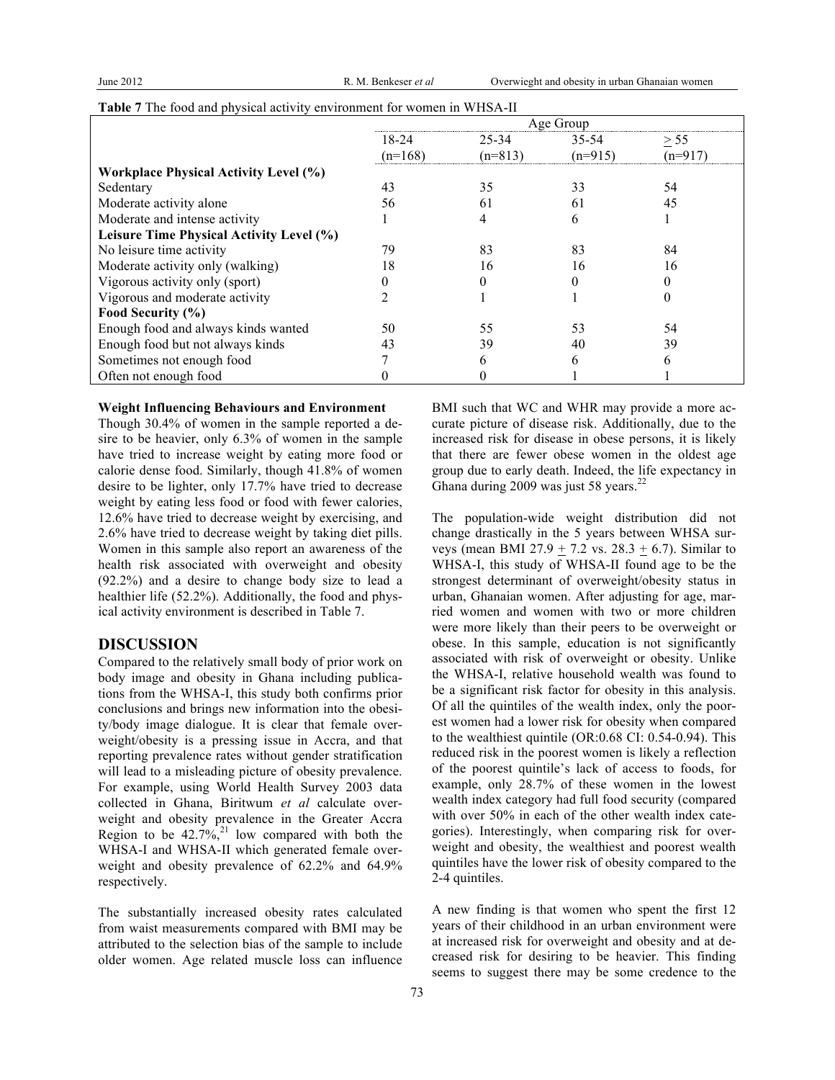|                                              | Age Group |           |           |           |  |  |
|----------------------------------------------|-----------|-----------|-----------|-----------|--|--|
|                                              | 18-24     | 25-34     | 35-54     | > 55      |  |  |
|                                              | $(n=168)$ | $(n=813)$ | $(n=915)$ | $(n=917)$ |  |  |
| <b>Workplace Physical Activity Level (%)</b> |           |           |           |           |  |  |
| Sedentary                                    | 43        | 35        | 33        | 54        |  |  |
| Moderate activity alone                      | 56        | 61        | 61        | 45        |  |  |
| Moderate and intense activity                |           |           | 6         |           |  |  |
| Leisure Time Physical Activity Level (%)     |           |           |           |           |  |  |
| No leisure time activity                     | 79        | 83        | 83        | 84        |  |  |
| Moderate activity only (walking)             | 18        | 16        | 16        | 16        |  |  |
| Vigorous activity only (sport)               |           |           |           |           |  |  |
| Vigorous and moderate activity               |           |           |           |           |  |  |
| Food Security (%)                            |           |           |           |           |  |  |
| Enough food and always kinds wanted          | 50        | 55        | 53        | 54        |  |  |
| Enough food but not always kinds             | 43        | 39        | 40        | 39        |  |  |
| Sometimes not enough food                    |           |           | 6         |           |  |  |
| Often not enough food                        |           |           |           |           |  |  |

|  |  |  | Table 7 The food and physical activity environment for women in WHSA-II |  |  |
|--|--|--|-------------------------------------------------------------------------|--|--|
|  |  |  |                                                                         |  |  |

#### **Weight Influencing Behaviours and Environment**

Though 30.4% of women in the sample reported a desire to be heavier, only 6.3% of women in the sample have tried to increase weight by eating more food or calorie dense food. Similarly, though 41.8% of women desire to be lighter, only 17.7% have tried to decrease weight by eating less food or food with fewer calories, 12.6% have tried to decrease weight by exercising, and 2.6% have tried to decrease weight by taking diet pills. Women in this sample also report an awareness of the health risk associated with overweight and obesity (92.2%) and a desire to change body size to lead a healthier life (52.2%). Additionally, the food and physical activity environment is described in Table 7.

## **DISCUSSION**

Compared to the relatively small body of prior work on body image and obesity in Ghana including publications from the WHSA-I, this study both confirms prior conclusions and brings new information into the obesity/body image dialogue. It is clear that female overweight/obesity is a pressing issue in Accra, and that reporting prevalence rates without gender stratification will lead to a misleading picture of obesity prevalence. For example, using World Health Survey 2003 data collected in Ghana, Biritwum *et al* calculate overweight and obesity prevalence in the Greater Accra Region to be  $42.7\frac{v}{6}$ ,<sup>21</sup> low compared with both the WHSA-I and WHSA-II which generated female overweight and obesity prevalence of 62.2% and 64.9% respectively.

The substantially increased obesity rates calculated from waist measurements compared with BMI may be attributed to the selection bias of the sample to include older women. Age related muscle loss can influence BMI such that WC and WHR may provide a more accurate picture of disease risk. Additionally, due to the increased risk for disease in obese persons, it is likely that there are fewer obese women in the oldest age group due to early death. Indeed, the life expectancy in Ghana during 2009 was just 58 years. $22$ 

The population-wide weight distribution did not change drastically in the 5 years between WHSA surveys (mean BMI 27.9 + 7.2 vs.  $28.3 + 6.7$ ). Similar to WHSA-I, this study of WHSA-II found age to be the strongest determinant of overweight/obesity status in urban, Ghanaian women. After adjusting for age, married women and women with two or more children were more likely than their peers to be overweight or obese. In this sample, education is not significantly associated with risk of overweight or obesity. Unlike the WHSA-I, relative household wealth was found to be a significant risk factor for obesity in this analysis. Of all the quintiles of the wealth index, only the poorest women had a lower risk for obesity when compared to the wealthiest quintile (OR:0.68 CI: 0.54-0.94). This reduced risk in the poorest women is likely a reflection of the poorest quintile's lack of access to foods, for example, only 28.7% of these women in the lowest wealth index category had full food security (compared with over 50% in each of the other wealth index categories). Interestingly, when comparing risk for overweight and obesity, the wealthiest and poorest wealth quintiles have the lower risk of obesity compared to the 2-4 quintiles.

A new finding is that women who spent the first 12 years of their childhood in an urban environment were at increased risk for overweight and obesity and at decreased risk for desiring to be heavier. This finding seems to suggest there may be some credence to the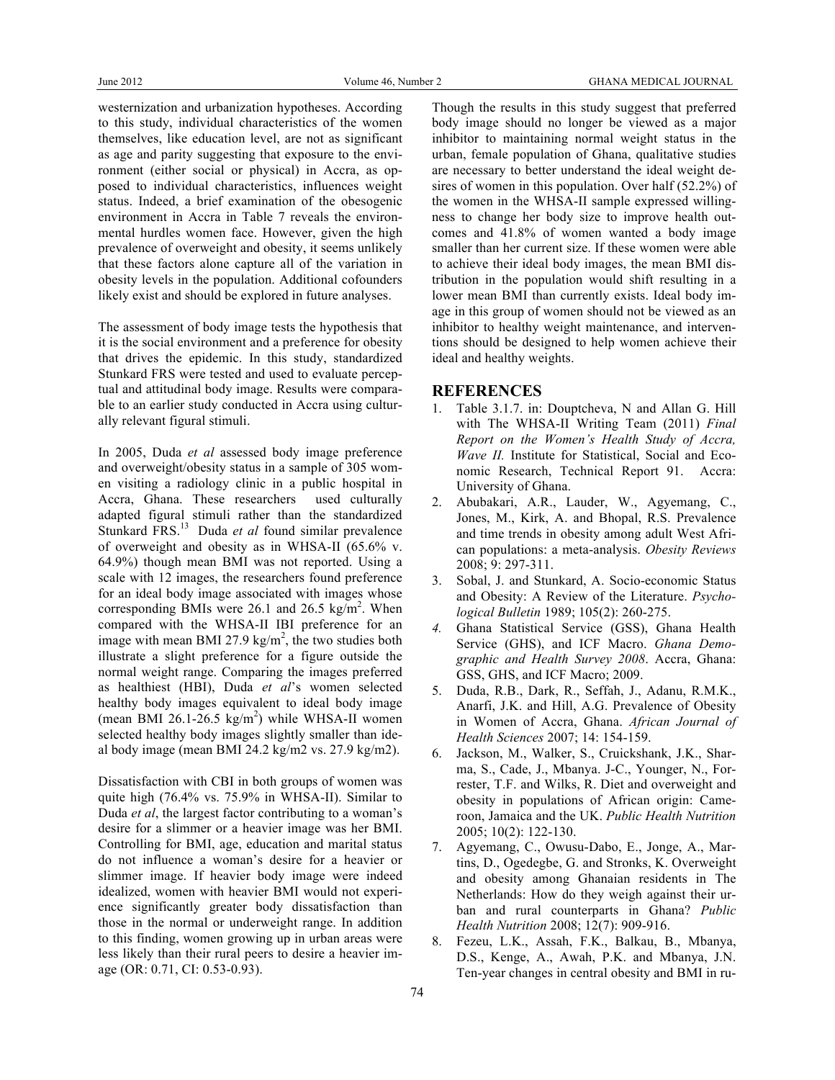westernization and urbanization hypotheses. According to this study, individual characteristics of the women themselves, like education level, are not as significant as age and parity suggesting that exposure to the environment (either social or physical) in Accra, as opposed to individual characteristics, influences weight status. Indeed, a brief examination of the obesogenic environment in Accra in Table 7 reveals the environmental hurdles women face. However, given the high prevalence of overweight and obesity, it seems unlikely that these factors alone capture all of the variation in obesity levels in the population. Additional cofounders likely exist and should be explored in future analyses.

The assessment of body image tests the hypothesis that it is the social environment and a preference for obesity that drives the epidemic. In this study, standardized Stunkard FRS were tested and used to evaluate perceptual and attitudinal body image. Results were comparable to an earlier study conducted in Accra using culturally relevant figural stimuli.

In 2005, Duda *et al* assessed body image preference and overweight/obesity status in a sample of 305 women visiting a radiology clinic in a public hospital in Accra, Ghana. These researchers used culturally adapted figural stimuli rather than the standardized Stunkard FRS.<sup>13</sup> Duda *et al* found similar prevalence of overweight and obesity as in WHSA-II (65.6% v. 64.9%) though mean BMI was not reported. Using a scale with 12 images, the researchers found preference for an ideal body image associated with images whose corresponding BMIs were  $26.1$  and  $26.5$  kg/m<sup>2</sup>. When compared with the WHSA-II IBI preference for an image with mean BMI 27.9 kg/m<sup>2</sup>, the two studies both illustrate a slight preference for a figure outside the normal weight range. Comparing the images preferred as healthiest (HBI), Duda *et al*'s women selected healthy body images equivalent to ideal body image (mean BMI 26.1-26.5  $\text{kg/m}^2$ ) while WHSA-II women selected healthy body images slightly smaller than ideal body image (mean BMI 24.2 kg/m2 vs. 27.9 kg/m2).

Dissatisfaction with CBI in both groups of women was quite high (76.4% vs. 75.9% in WHSA-II). Similar to Duda *et al*, the largest factor contributing to a woman's desire for a slimmer or a heavier image was her BMI. Controlling for BMI, age, education and marital status do not influence a woman's desire for a heavier or slimmer image. If heavier body image were indeed idealized, women with heavier BMI would not experience significantly greater body dissatisfaction than those in the normal or underweight range. In addition to this finding, women growing up in urban areas were less likely than their rural peers to desire a heavier image (OR: 0.71, CI: 0.53-0.93).

Though the results in this study suggest that preferred body image should no longer be viewed as a major inhibitor to maintaining normal weight status in the urban, female population of Ghana, qualitative studies are necessary to better understand the ideal weight desires of women in this population. Over half (52.2%) of the women in the WHSA-II sample expressed willingness to change her body size to improve health outcomes and 41.8% of women wanted a body image smaller than her current size. If these women were able to achieve their ideal body images, the mean BMI distribution in the population would shift resulting in a lower mean BMI than currently exists. Ideal body image in this group of women should not be viewed as an inhibitor to healthy weight maintenance, and interventions should be designed to help women achieve their ideal and healthy weights.

## **REFERENCES**

- 1. Table 3.1.7. in: Douptcheva, N and Allan G. Hill with The WHSA-II Writing Team (2011) *Final Report on the Women's Health Study of Accra, Wave II.* Institute for Statistical, Social and Economic Research, Technical Report 91. Accra: University of Ghana.
- 2. Abubakari, A.R., Lauder, W., Agyemang, C., Jones, M., Kirk, A. and Bhopal, R.S. Prevalence and time trends in obesity among adult West African populations: a meta-analysis. *Obesity Reviews* 2008; 9: 297-311.
- 3. Sobal, J. and Stunkard, A. Socio-economic Status and Obesity: A Review of the Literature. *Psychological Bulletin* 1989; 105(2): 260-275.
- *4.* Ghana Statistical Service (GSS), Ghana Health Service (GHS), and ICF Macro. *Ghana Demographic and Health Survey 2008*. Accra, Ghana: GSS, GHS, and ICF Macro; 2009.
- 5. Duda, R.B., Dark, R., Seffah, J., Adanu, R.M.K., Anarfi, J.K. and Hill, A.G. Prevalence of Obesity in Women of Accra, Ghana. *African Journal of Health Sciences* 2007; 14: 154-159.
- 6. Jackson, M., Walker, S., Cruickshank, J.K., Sharma, S., Cade, J., Mbanya. J-C., Younger, N., Forrester, T.F. and Wilks, R. Diet and overweight and obesity in populations of African origin: Cameroon, Jamaica and the UK. *Public Health Nutrition* 2005; 10(2): 122-130.
- 7. Agyemang, C., Owusu-Dabo, E., Jonge, A., Martins, D., Ogedegbe, G. and Stronks, K. Overweight and obesity among Ghanaian residents in The Netherlands: How do they weigh against their urban and rural counterparts in Ghana? *Public Health Nutrition* 2008; 12(7): 909-916.
- 8. Fezeu, L.K., Assah, F.K., Balkau, B., Mbanya, D.S., Kenge, A., Awah, P.K. and Mbanya, J.N. Ten-year changes in central obesity and BMI in ru-